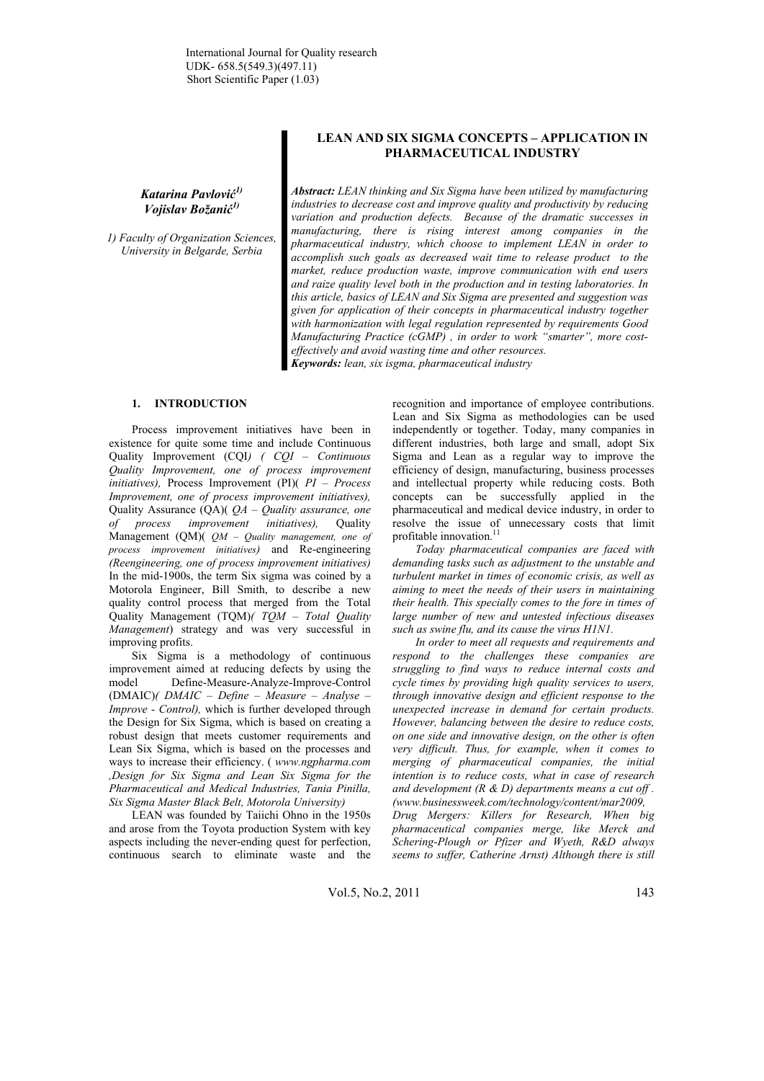*Katarina Pavlović 1) Vojislav Božanić 1)*

*1) Faculty of Organization Sciences, University in Belgarde, Serbia* 

# **LEAN AND SIX SIGMA CONCEPTS – APPLICATION IN PHARMACEUTICAL INDUSTRY**

*Abstract: LEAN thinking and Six Sigma have been utilized by manufacturing industries to decrease cost and improve quality and productivity by reducing variation and production defects. Because of the dramatic successes in manufacturing, there is rising interest among companies in the pharmaceutical industry, which choose to implement LEAN in order to accomplish such goals as decreased wait time to release product to the market, reduce production waste, improve communication with end users and raize quality level both in the production and in testing laboratories. In this article, basics of LEAN and Six Sigma are presented and suggestion was given for application of their concepts in pharmaceutical industry together with harmonization with legal regulation represented by requirements Good Manufacturing Practice (cGMP) , in order to work "smarter", more costeffectively and avoid wasting time and other resources.* 

*Keywords: lean, six isgma, pharmaceutical industry*

## **1. INTRODUCTION**

Process improvement initiatives have been in existence for quite some time and include Continuous Quality Improvement (CQI*) ( CQI – Continuous Quality Improvement, one of process improvement initiatives),* Process Improvement (PI)( *PI – Process Improvement, one of process improvement initiatives),* Quality Assurance (QA)( *QA – Quality assurance, one of process improvement initiatives),* Quality Management (QM)( *QM – Quality management, one of process improvement initiatives)* and Re-engineering *(Reengineering, one of process improvement initiatives)* In the mid-1900s, the term Six sigma was coined by a Motorola Engineer, Bill Smith, to describe a new quality control process that merged from the Total Quality Management (TQM)*( TQM – Total Quality Management*) strategy and was very successful in improving profits.

Six Sigma is a methodology of continuous improvement aimed at reducing defects by using the model Define-Measure-Analyze-Improve-Control (DMAIC)*( DMAIC – Define – Measure – Analyse – Improve - Control),* which is further developed through the Design for Six Sigma, which is based on creating a robust design that meets customer requirements and Lean Six Sigma, which is based on the processes and ways to increase their efficiency. ( *www.ngpharma.com ,Design for Six Sigma and Lean Six Sigma for the Pharmaceutical and Medical Industries, Tania Pinilla, Six Sigma Master Black Belt, Motorola University)*

LEAN was founded by Taiichi Ohno in the 1950s and arose from the Toyota production System with key aspects including the never-ending quest for perfection, continuous search to eliminate waste and the recognition and importance of employee contributions. Lean and Six Sigma as methodologies can be used independently or together. Today, many companies in different industries, both large and small, adopt Six Sigma and Lean as a regular way to improve the efficiency of design, manufacturing, business processes and intellectual property while reducing costs. Both concepts can be successfully applied in the pharmaceutical and medical device industry, in order to resolve the issue of unnecessary costs that limit profitable innovation.<sup>11</sup>

*Today pharmaceutical companies are faced with demanding tasks such as adjustment to the unstable and turbulent market in times of economic crisis, as well as aiming to meet the needs of their users in maintaining their health. This specially comes to the fore in times of large number of new and untested infectious diseases such as swine flu, and its cause the virus H1N1.* 

*In order to meet all requests and requirements and respond to the challenges these companies are struggling to find ways to reduce internal costs and cycle times by providing high quality services to users, through innovative design and efficient response to the unexpected increase in demand for certain products. However, balancing between the desire to reduce costs, on one side and innovative design, on the other is often very difficult. Thus, for example, when it comes to merging of pharmaceutical companies, the initial intention is to reduce costs, what in case of research and development (R & D) departments means a cut off . (www.businessweek.com/technology/content/mar2009,* 

*Drug Mergers: Killers for Research, When big pharmaceutical companies merge, like Merck and Schering-Plough or Pfizer and Wyeth, R&D always seems to suffer, Catherine Arnst) Although there is still*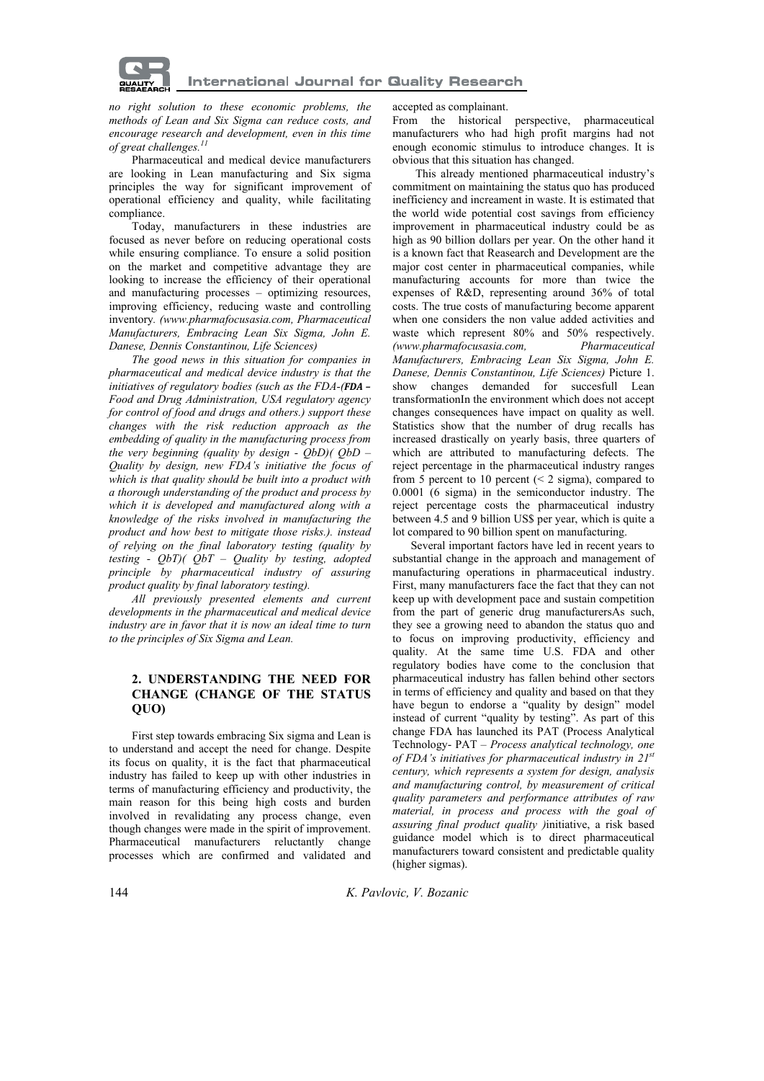

*no right solution to these economic problems, the methods of Lean and Six Sigma can reduce costs, and encourage research and development, even in this time of great challenges.*<sup>1</sup>

Pharmaceutical and medical device manufacturers are looking in Lean manufacturing and Six sigma principles the way for significant improvement of operational efficiency and quality, while facilitating compliance.

Today, manufacturers in these industries are focused as never before on reducing operational costs while ensuring compliance. To ensure a solid position on the market and competitive advantage they are looking to increase the efficiency of their operational and manufacturing processes – optimizing resources, improving efficiency, reducing waste and controlling inventory*. (www.pharmafocusasia.com, Pharmaceutical Manufacturers, Embracing Lean Six Sigma, John E. Danese, Dennis Constantinou, Life Sciences)*

*The good news in this situation for companies in pharmaceutical and medical device industry is that the initiatives of regulatory bodies (such as the FDA-(FDA – Food and Drug Administration, USA regulatory agency for control of food and drugs and others.) support these changes with the risk reduction approach as the embedding of quality in the manufacturing process from the very beginning (quality by design - QbD)( QbD – Quality by design, new FDA's initiative the focus of which is that quality should be built into a product with a thorough understanding of the product and process by which it is developed and manufactured along with a knowledge of the risks involved in manufacturing the product and how best to mitigate those risks.). instead of relying on the final laboratory testing (quality by testing - QbT)( QbT – Quality by testing, adopted principle by pharmaceutical industry of assuring product quality by final laboratory testing).* 

*All previously presented elements and current developments in the pharmaceutical and medical device industry are in favor that it is now an ideal time to turn to the principles of Six Sigma and Lean.* 

## **2. UNDERSTANDING THE NEED FOR CHANGE (CHANGE OF THE STATUS QUO)**

First step towards embracing Six sigma and Lean is to understand and accept the need for change. Despite its focus on quality, it is the fact that pharmaceutical industry has failed to keep up with other industries in terms of manufacturing efficiency and productivity, the main reason for this being high costs and burden involved in revalidating any process change, even though changes were made in the spirit of improvement. Pharmaceutical manufacturers reluctantly change processes which are confirmed and validated and

## accepted as complainant.

From the historical perspective, pharmaceutical manufacturers who had high profit margins had not enough economic stimulus to introduce changes. It is obvious that this situation has changed.

This already mentioned pharmaceutical industry's commitment on maintaining the status quo has produced inefficiency and increament in waste. It is estimated that the world wide potential cost savings from efficiency improvement in pharmaceutical industry could be as high as 90 billion dollars per year. On the other hand it is a known fact that Reasearch and Development are the major cost center in pharmaceutical companies, while manufacturing accounts for more than twice the expenses of R&D, representing around 36% of total costs. The true costs of manufacturing become apparent when one considers the non value added activities and waste which represent 80% and 50% respectively. *(www.pharmafocusasia.com, Pharmaceutical Manufacturers, Embracing Lean Six Sigma, John E. Danese, Dennis Constantinou, Life Sciences)* Picture 1. show changes demanded for succesfull Lean transformationIn the environment which does not accept changes consequences have impact on quality as well. Statistics show that the number of drug recalls has increased drastically on yearly basis, three quarters of which are attributed to manufacturing defects. The reject percentage in the pharmaceutical industry ranges from 5 percent to 10 percent  $\approx$  2 sigma), compared to 0.0001 (6 sigma) in the semiconductor industry. The reject percentage costs the pharmaceutical industry between 4.5 and 9 billion US\$ per year, which is quite a lot compared to 90 billion spent on manufacturing.

Several important factors have led in recent years to substantial change in the approach and management of manufacturing operations in pharmaceutical industry. First, many manufacturers face the fact that they can not keep up with development pace and sustain competition from the part of generic drug manufacturersAs such, they see a growing need to abandon the status quo and to focus on improving productivity, efficiency and quality. At the same time U.S. FDA and other regulatory bodies have come to the conclusion that pharmaceutical industry has fallen behind other sectors in terms of efficiency and quality and based on that they have begun to endorse a "quality by design" model instead of current "quality by testing". As part of this change FDA has launched its PAT (Process Analytical Technology- PAT *– Process analytical technology, one of FDA's initiatives for pharmaceutical industry in 21st century, which represents a system for design, analysis and manufacturing control, by measurement of critical quality parameters and performance attributes of raw material, in process and process with the goal of assuring final product quality )*initiative, a risk based guidance model which is to direct pharmaceutical manufacturers toward consistent and predictable quality (higher sigmas).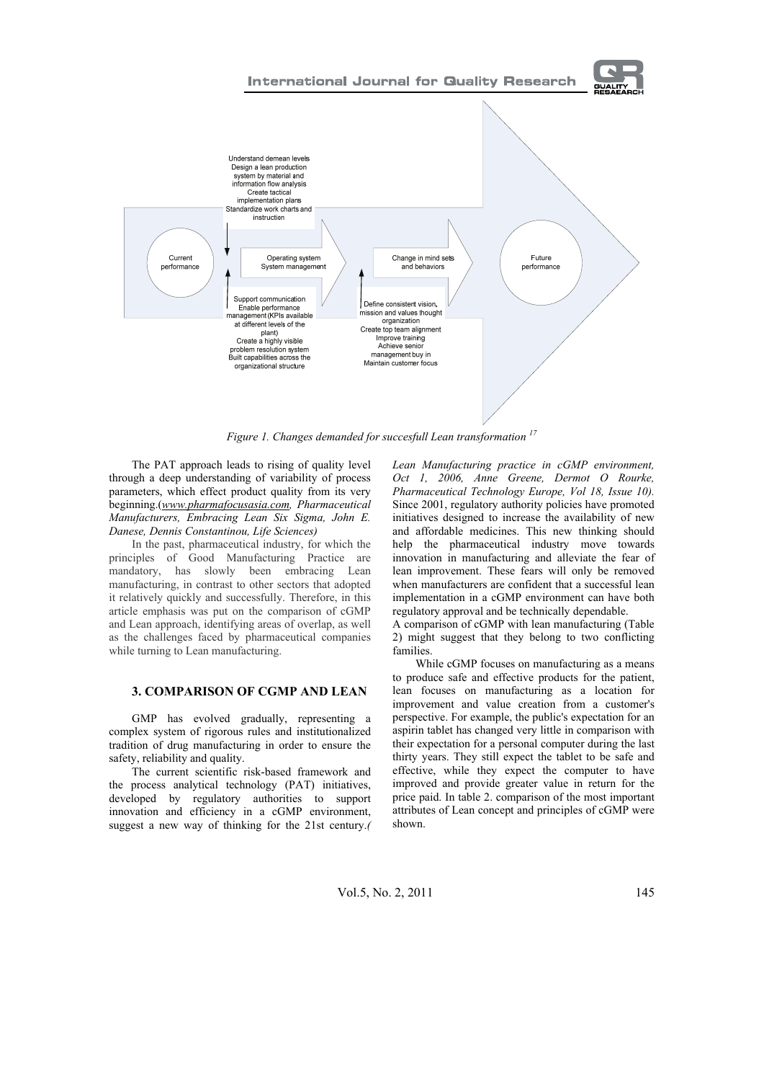



*Figure 1. Changes demanded for succesfull Lean transformation 17* 

The PAT approach leads to rising of quality level through a deep understanding of variability of process parameters, which effect product quality from its very beginning.(*www.pharmafocusasia.com, Pharmaceutical Manufacturers, Embracing Lean Six Sigma, John E. Danese, Dennis Constantinou, Life Sciences)*

In the past, pharmaceutical industry, for which the principles of Good Manufacturing Practice are mandatory, has slowly been embracing Lean manufacturing, in contrast to other sectors that adopted it relatively quickly and successfully. Therefore, in this article emphasis was put on the comparison of cGMP and Lean approach, identifying areas of overlap, as well as the challenges faced by pharmaceutical companies while turning to Lean manufacturing.

### **3. COMPARISON OF CGMP AND LEAN**

GMP has evolved gradually, representing a complex system of rigorous rules and institutionalized tradition of drug manufacturing in order to ensure the safety, reliability and quality.

The current scientific risk-based framework and the process analytical technology (PAT) initiatives, developed by regulatory authorities to support innovation and efficiency in a cGMP environment, suggest a new way of thinking for the 21st century.*(*  *Lean Manufacturing practice in cGMP environment, Oct 1, 2006, Anne Greene, Dermot O Rourke, Pharmaceutical Technology Europe, Vol 18, Issue 10).*  Since 2001, regulatory authority policies have promoted initiatives designed to increase the availability of new and affordable medicines. This new thinking should help the pharmaceutical industry move towards innovation in manufacturing and alleviate the fear of lean improvement. These fears will only be removed when manufacturers are confident that a successful lean implementation in a cGMP environment can have both regulatory approval and be technically dependable.

A comparison of cGMP with lean manufacturing (Table 2) might suggest that they belong to two conflicting families.

While cGMP focuses on manufacturing as a means to produce safe and effective products for the patient, lean focuses on manufacturing as a location for improvement and value creation from a customer's perspective. For example, the public's expectation for an aspirin tablet has changed very little in comparison with their expectation for a personal computer during the last thirty years. They still expect the tablet to be safe and effective, while they expect the computer to have improved and provide greater value in return for the price paid. In table 2. comparison of the most important attributes of Lean concept and principles of cGMP were shown.

Vol.5, No. 2, 2011 145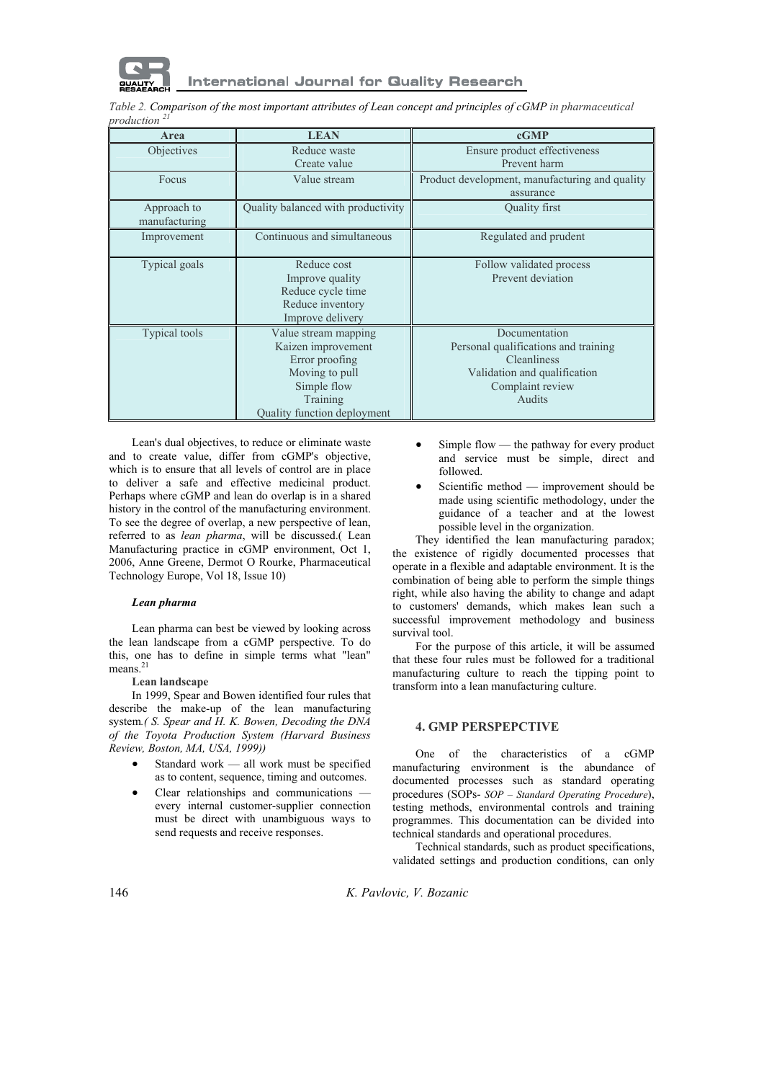

*Table 2. Comparison of the most important attributes of Lean concept and principles of cGMP in pharmaceutical production <sup>21</sup>*

| Area                         | <b>LEAN</b>                                                                                                                              | cGMP                                                                                                                                      |
|------------------------------|------------------------------------------------------------------------------------------------------------------------------------------|-------------------------------------------------------------------------------------------------------------------------------------------|
| Objectives                   | Reduce waste                                                                                                                             | Ensure product effectiveness                                                                                                              |
|                              | Create value                                                                                                                             | Prevent harm                                                                                                                              |
| Focus                        | Value stream                                                                                                                             | Product development, manufacturing and quality                                                                                            |
|                              |                                                                                                                                          | assurance                                                                                                                                 |
| Approach to<br>manufacturing | Quality balanced with productivity                                                                                                       | Quality first                                                                                                                             |
| Improvement                  | Continuous and simultaneous                                                                                                              | Regulated and prudent                                                                                                                     |
| Typical goals                | Reduce cost<br>Improve quality<br>Reduce cycle time<br>Reduce inventory<br>Improve delivery                                              | Follow validated process<br>Prevent deviation                                                                                             |
| <b>Typical tools</b>         | Value stream mapping<br>Kaizen improvement<br>Error proofing<br>Moving to pull<br>Simple flow<br>Training<br>Quality function deployment | Documentation<br>Personal qualifications and training<br><b>Cleanliness</b><br>Validation and qualification<br>Complaint review<br>Audits |

Lean's dual objectives, to reduce or eliminate waste and to create value, differ from cGMP's objective, which is to ensure that all levels of control are in place to deliver a safe and effective medicinal product. Perhaps where cGMP and lean do overlap is in a shared history in the control of the manufacturing environment. To see the degree of overlap, a new perspective of lean, referred to as *lean pharma*, will be discussed.( Lean Manufacturing practice in cGMP environment, Oct 1, 2006, Anne Greene, Dermot O Rourke, Pharmaceutical Technology Europe, Vol 18, Issue 10)

#### *Lean pharma*

Lean pharma can best be viewed by looking across the lean landscape from a cGMP perspective. To do this, one has to define in simple terms what "lean" means.<sup>21</sup>

## **Lean landscape**

In 1999, Spear and Bowen identified four rules that describe the make-up of the lean manufacturing system*.( S. Spear and H. K. Bowen, Decoding the DNA of the Toyota Production System (Harvard Business Review, Boston, MA, USA, 1999))*

- Standard work all work must be specified as to content, sequence, timing and outcomes.
- Clear relationships and communications every internal customer-supplier connection must be direct with unambiguous ways to send requests and receive responses.
- Simple flow the pathway for every product and service must be simple, direct and followed.
- Scientific method improvement should be made using scientific methodology, under the guidance of a teacher and at the lowest possible level in the organization.

They identified the lean manufacturing paradox; the existence of rigidly documented processes that operate in a flexible and adaptable environment. It is the combination of being able to perform the simple things right, while also having the ability to change and adapt to customers' demands, which makes lean such a successful improvement methodology and business survival tool.

For the purpose of this article, it will be assumed that these four rules must be followed for a traditional manufacturing culture to reach the tipping point to transform into a lean manufacturing culture.

#### **4. GMP PERSPEPCTIVE**

One of the characteristics of a cGMP manufacturing environment is the abundance of documented processes such as standard operating procedures (SOPs- *SOP – Standard Operating Procedure*), testing methods, environmental controls and training programmes. This documentation can be divided into technical standards and operational procedures.

Technical standards, such as product specifications, validated settings and production conditions, can only

146 *K. Pavlovic, V. Bozanic*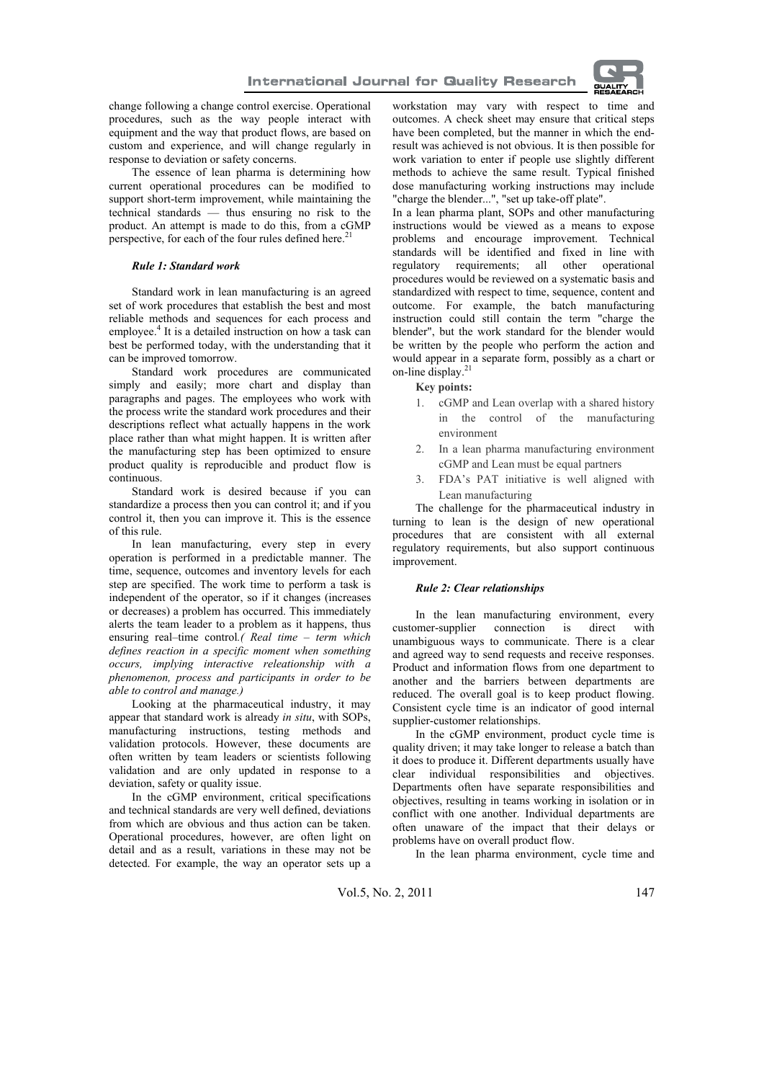

change following a change control exercise. Operational procedures, such as the way people interact with equipment and the way that product flows, are based on custom and experience, and will change regularly in response to deviation or safety concerns.

The essence of lean pharma is determining how current operational procedures can be modified to support short-term improvement, while maintaining the technical standards — thus ensuring no risk to the product. An attempt is made to do this, from a cGMP perspective, for each of the four rules defined here.<sup>2</sup>

#### *Rule 1: Standard work*

Standard work in lean manufacturing is an agreed set of work procedures that establish the best and most reliable methods and sequences for each process and employee.<sup>4</sup> It is a detailed instruction on how a task can best be performed today, with the understanding that it can be improved tomorrow.

Standard work procedures are communicated simply and easily; more chart and display than paragraphs and pages. The employees who work with the process write the standard work procedures and their descriptions reflect what actually happens in the work place rather than what might happen. It is written after the manufacturing step has been optimized to ensure product quality is reproducible and product flow is continuous.

Standard work is desired because if you can standardize a process then you can control it; and if you control it, then you can improve it. This is the essence of this rule.

In lean manufacturing, every step in every operation is performed in a predictable manner. The time, sequence, outcomes and inventory levels for each step are specified. The work time to perform a task is independent of the operator, so if it changes (increases or decreases) a problem has occurred. This immediately alerts the team leader to a problem as it happens, thus ensuring real–time control*.( Real time – term which defines reaction in a specific moment when something occurs, implying interactive releationship with a phenomenon, process and participants in order to be able to control and manage.)*

Looking at the pharmaceutical industry, it may appear that standard work is already *in situ*, with SOPs, manufacturing instructions, testing methods and validation protocols. However, these documents are often written by team leaders or scientists following validation and are only updated in response to a deviation, safety or quality issue.

In the cGMP environment, critical specifications and technical standards are very well defined, deviations from which are obvious and thus action can be taken. Operational procedures, however, are often light on detail and as a result, variations in these may not be detected. For example, the way an operator sets up a workstation may vary with respect to time and outcomes. A check sheet may ensure that critical steps have been completed, but the manner in which the endresult was achieved is not obvious. It is then possible for work variation to enter if people use slightly different methods to achieve the same result. Typical finished dose manufacturing working instructions may include "charge the blender...", "set up take-off plate".

In a lean pharma plant, SOPs and other manufacturing instructions would be viewed as a means to expose problems and encourage improvement. Technical standards will be identified and fixed in line with regulatory requirements; all other operational procedures would be reviewed on a systematic basis and standardized with respect to time, sequence, content and outcome. For example, the batch manufacturing instruction could still contain the term "charge the blender", but the work standard for the blender would be written by the people who perform the action and would appear in a separate form, possibly as a chart or on-line display.<sup>21</sup>

#### **Key points:**

- 1. cGMP and Lean overlap with a shared history in the control of the manufacturing environment
- 2. In a lean pharma manufacturing environment cGMP and Lean must be equal partners
- 3. FDA's PAT initiative is well aligned with Lean manufacturing

The challenge for the pharmaceutical industry in turning to lean is the design of new operational procedures that are consistent with all external regulatory requirements, but also support continuous improvement.

## *Rule 2: Clear relationships*

In the lean manufacturing environment, every customer-supplier connection is direct with unambiguous ways to communicate. There is a clear and agreed way to send requests and receive responses. Product and information flows from one department to another and the barriers between departments are reduced. The overall goal is to keep product flowing. Consistent cycle time is an indicator of good internal supplier-customer relationships.

In the cGMP environment, product cycle time is quality driven; it may take longer to release a batch than it does to produce it. Different departments usually have clear individual responsibilities and objectives. Departments often have separate responsibilities and objectives, resulting in teams working in isolation or in conflict with one another. Individual departments are often unaware of the impact that their delays or problems have on overall product flow.

In the lean pharma environment, cycle time and

Vol.5, No. 2, 2011 147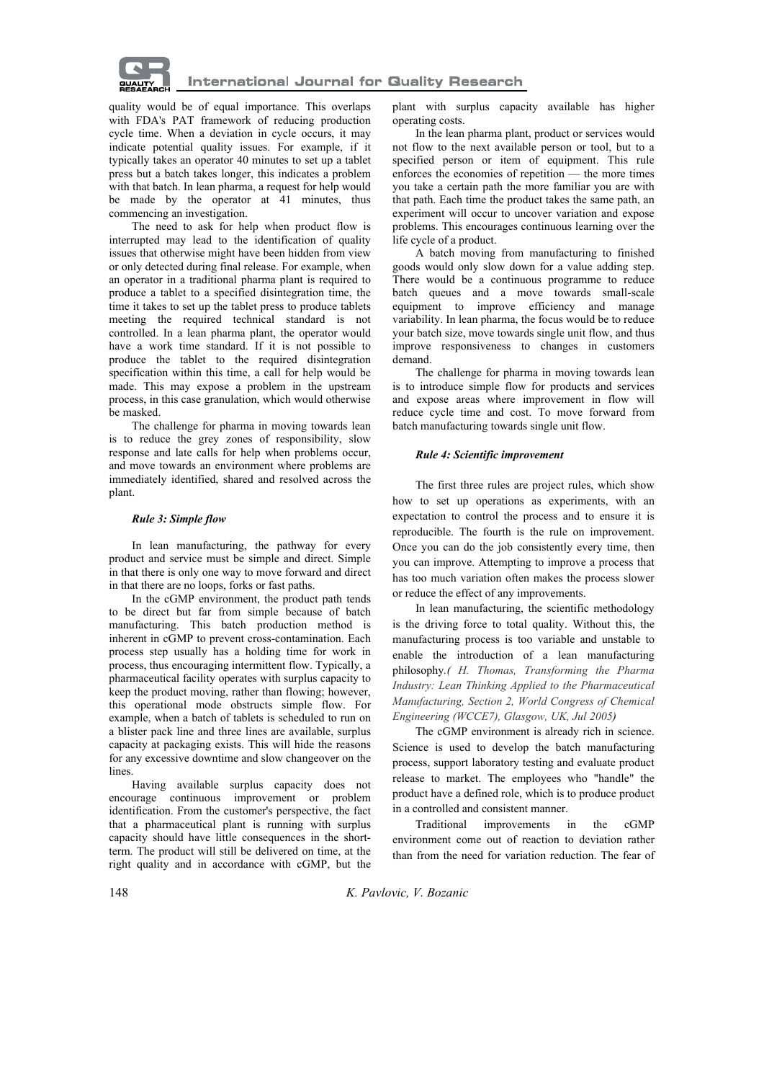

quality would be of equal importance. This overlaps with FDA's PAT framework of reducing production cycle time. When a deviation in cycle occurs, it may indicate potential quality issues. For example, if it typically takes an operator 40 minutes to set up a tablet press but a batch takes longer, this indicates a problem with that batch. In lean pharma, a request for help would be made by the operator at 41 minutes, thus commencing an investigation.

The need to ask for help when product flow is interrupted may lead to the identification of quality issues that otherwise might have been hidden from view or only detected during final release. For example, when an operator in a traditional pharma plant is required to produce a tablet to a specified disintegration time, the time it takes to set up the tablet press to produce tablets meeting the required technical standard is not controlled. In a lean pharma plant, the operator would have a work time standard. If it is not possible to produce the tablet to the required disintegration specification within this time, a call for help would be made. This may expose a problem in the upstream process, in this case granulation, which would otherwise be masked.

The challenge for pharma in moving towards lean is to reduce the grey zones of responsibility, slow response and late calls for help when problems occur, and move towards an environment where problems are immediately identified, shared and resolved across the plant.

### *Rule 3: Simple flow*

In lean manufacturing, the pathway for every product and service must be simple and direct. Simple in that there is only one way to move forward and direct in that there are no loops, forks or fast paths.

In the cGMP environment, the product path tends to be direct but far from simple because of batch manufacturing. This batch production method is inherent in cGMP to prevent cross-contamination. Each process step usually has a holding time for work in process, thus encouraging intermittent flow. Typically, a pharmaceutical facility operates with surplus capacity to keep the product moving, rather than flowing; however, this operational mode obstructs simple flow. For example, when a batch of tablets is scheduled to run on a blister pack line and three lines are available, surplus capacity at packaging exists. This will hide the reasons for any excessive downtime and slow changeover on the lines.

Having available surplus capacity does not encourage continuous improvement or problem identification. From the customer's perspective, the fact that a pharmaceutical plant is running with surplus capacity should have little consequences in the shortterm. The product will still be delivered on time, at the right quality and in accordance with cGMP, but the

plant with surplus capacity available has higher operating costs.

In the lean pharma plant, product or services would not flow to the next available person or tool, but to a specified person or item of equipment. This rule enforces the economies of repetition — the more times you take a certain path the more familiar you are with that path. Each time the product takes the same path, an experiment will occur to uncover variation and expose problems. This encourages continuous learning over the life cycle of a product.

A batch moving from manufacturing to finished goods would only slow down for a value adding step. There would be a continuous programme to reduce batch queues and a move towards small-scale equipment to improve efficiency and manage variability. In lean pharma, the focus would be to reduce your batch size, move towards single unit flow, and thus improve responsiveness to changes in customers demand.

The challenge for pharma in moving towards lean is to introduce simple flow for products and services and expose areas where improvement in flow will reduce cycle time and cost. To move forward from batch manufacturing towards single unit flow.

### *Rule 4: Scientific improvement*

The first three rules are project rules, which show how to set up operations as experiments, with an expectation to control the process and to ensure it is reproducible. The fourth is the rule on improvement. Once you can do the job consistently every time, then you can improve. Attempting to improve a process that has too much variation often makes the process slower or reduce the effect of any improvements.

In lean manufacturing, the scientific methodology is the driving force to total quality. Without this, the manufacturing process is too variable and unstable to enable the introduction of a lean manufacturing philosophy*.( H. Thomas, Transforming the Pharma Industry: Lean Thinking Applied to the Pharmaceutical Manufacturing, Section 2, World Congress of Chemical Engineering (WCCE7), Glasgow, UK, Jul 2005)*

The cGMP environment is already rich in science. Science is used to develop the batch manufacturing process, support laboratory testing and evaluate product release to market. The employees who "handle" the product have a defined role, which is to produce product in a controlled and consistent manner.

Traditional improvements in the cGMP environment come out of reaction to deviation rather than from the need for variation reduction. The fear of